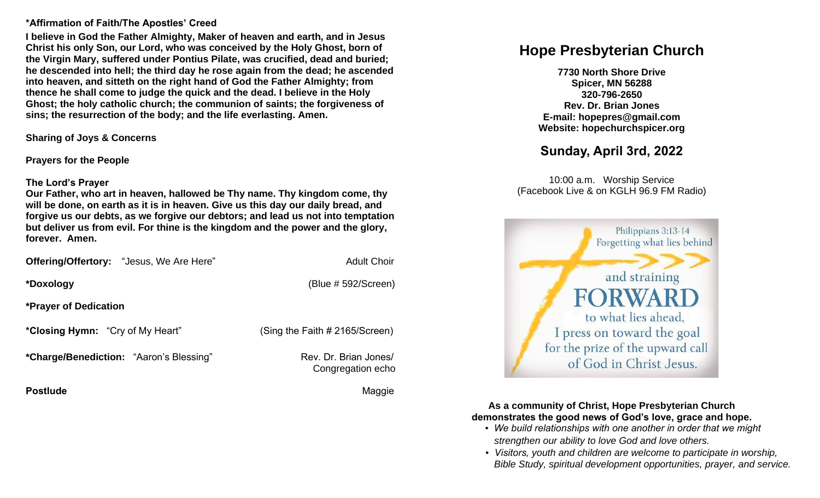#### **\*Affirmation of Faith/The Apostles' Creed**

**I believe in God the Father Almighty, Maker of heaven and earth, and in Jesus Christ his only Son, our Lord, who was conceived by the Holy Ghost, born of the Virgin Mary, suffered under Pontius Pilate, was crucified, dead and buried; he descended into hell; the third day he rose again from the dead; he ascended into heaven, and sitteth on the right hand of God the Father Almighty; from thence he shall come to judge the quick and the dead. I believe in the Holy Ghost; the holy catholic church; the communion of saints; the forgiveness of sins; the resurrection of the body; and the life everlasting. Amen.**

**Sharing of Joys & Concerns**

**Prayers for the People**

#### **The Lord's Prayer**

**Our Father, who art in heaven, hallowed be Thy name. Thy kingdom come, thy will be done, on earth as it is in heaven. Give us this day our daily bread, and forgive us our debts, as we forgive our debtors; and lead us not into temptation but deliver us from evil. For thine is the kingdom and the power and the glory, forever. Amen.** 

|                              | <b>Offering/Offertory:</b> "Jesus, We Are Here" | <b>Adult Choir</b>      |
|------------------------------|-------------------------------------------------|-------------------------|
| *Doxology                    |                                                 | $(B\ell \# 592/Screen)$ |
| <b>*Prayer of Dedication</b> |                                                 |                         |

**\*Closing Hymn:** "Cry of My Heart" (Sing the Faith # 2165/Screen)

**\*Charge/Benediction:** "Aaron's Blessing" Rev. Dr. Brian Jones/

Congregation echo

**Postlude Maggie According to the Contract of the Contract of the Contract of the Maggie** 

# **Hope Presbyterian Church**

**7730 North Shore Drive Spicer, MN 56288 320-796-2650 Rev. Dr. Brian Jones E-mail: hopepres@gmail.com Website: hopechurchspicer.org**

# **Sunday, April 3rd, 2022**

10:00 a.m. Worship Service (Facebook Live & on KGLH 96.9 FM Radio)



**As a community of Christ, Hope Presbyterian Church demonstrates the good news of God's love, grace and hope.**

- *We build relationships with one another in order that we might strengthen our ability to love God and love others.*
- *Visitors, youth and children are welcome to participate in worship, Bible Study, spiritual development opportunities, prayer, and service.*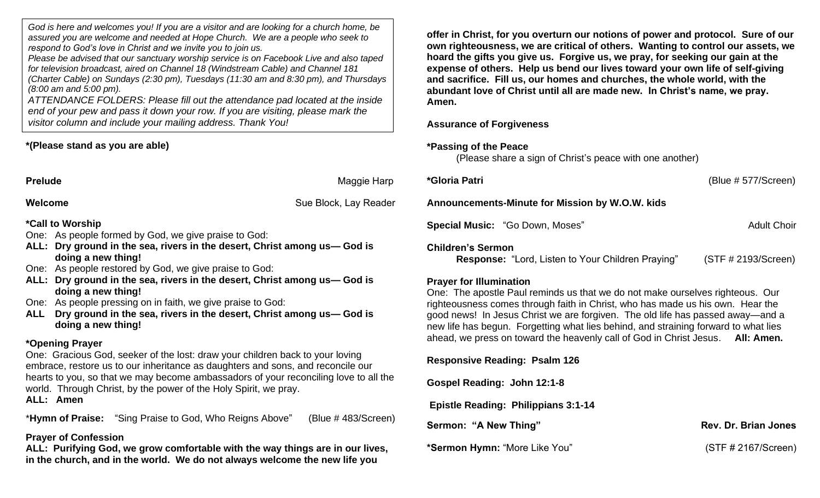*God is here and welcomes you! If you are a visitor and are looking for a church home, be assured you are welcome and needed at Hope Church. We are a people who seek to respond to God's love in Christ and we invite you to join us.*

*Please be advised that our sanctuary worship service is on Facebook Live and also taped for television broadcast, aired on Channel 18 (Windstream Cable) and Channel 181 (Charter Cable) on Sundays (2:30 pm), Tuesdays (11:30 am and 8:30 pm), and Thursdays (8:00 am and 5:00 pm).*

*ATTENDANCE FOLDERS: Please fill out the attendance pad located at the inside end of your pew and pass it down your row. If you are visiting, please mark the visitor column and include your mailing address. Thank You!*

# **\*(Please stand as you are able)**

**Prelude** Maggie Harp

**Welcome** Sue Block, Lay Reader

# **\*Call to Worship**

- One: As people formed by God, we give praise to God:
- **ALL: Dry ground in the sea, rivers in the desert, Christ among us— God is doing a new thing!**
- One: As people restored by God, we give praise to God:
- **ALL: Dry ground in the sea, rivers in the desert, Christ among us— God is doing a new thing!**
- One: As people pressing on in faith, we give praise to God:
- **ALL Dry ground in the sea, rivers in the desert, Christ among us— God is doing a new thing!**

# **\*Opening Prayer**

One: Gracious God, seeker of the lost: draw your children back to your loving embrace, restore us to our inheritance as daughters and sons, and reconcile our hearts to you, so that we may become ambassadors of your reconciling love to all the world. Through Christ, by the power of the Holy Spirit, we pray. **ALL: Amen**

\***Hymn of Praise:** "Sing Praise to God, Who Reigns Above" (Blue # 483/Screen)

# **Prayer of Confession**

**ALL: Purifying God, we grow comfortable with the way things are in our lives, in the church, and in the world. We do not always welcome the new life you** 

**offer in Christ, for you overturn our notions of power and protocol. Sure of our own righteousness, we are critical of others. Wanting to control our assets, we hoard the gifts you give us. Forgive us, we pray, for seeking our gain at the expense of others. Help us bend our lives toward your own life of self-giving and sacrifice. Fill us, our homes and churches, the whole world, with the abundant love of Christ until all are made new. In Christ's name, we pray. Amen.**

### **Assurance of Forgiveness**

#### **\*Passing of the Peace**

(Please share a sign of Christ's peace with one another)

| *Gloria Patri                                                                        | (Blue # 577/Screen) |  |  |  |
|--------------------------------------------------------------------------------------|---------------------|--|--|--|
| Announcements-Minute for Mission by W.O.W. kids                                      |                     |  |  |  |
| <b>Special Music: "Go Down, Moses"</b>                                               | <b>Adult Choir</b>  |  |  |  |
| <b>Children's Sermon</b><br><b>Response: "Lord, Listen to Your Children Praying"</b> | (STF # 2193/Screen) |  |  |  |

#### **Prayer for Illumination**

One: The apostle Paul reminds us that we do not make ourselves righteous. Our righteousness comes through faith in Christ, who has made us his own. Hear the good news! In Jesus Christ we are forgiven. The old life has passed away—and a new life has begun. Forgetting what lies behind, and straining forward to what lies ahead, we press on toward the heavenly call of God in Christ Jesus. **All: Amen.**

**Responsive Reading: Psalm 126** 

**Gospel Reading: John 12:1-8** 

**Epistle Reading: Philippians 3:1-14**

**Sermon: "A New Thing" Rev. Dr. Brian Jones** 

**\*Sermon Hymn:** "More Like You" (STF # 2167/Screen)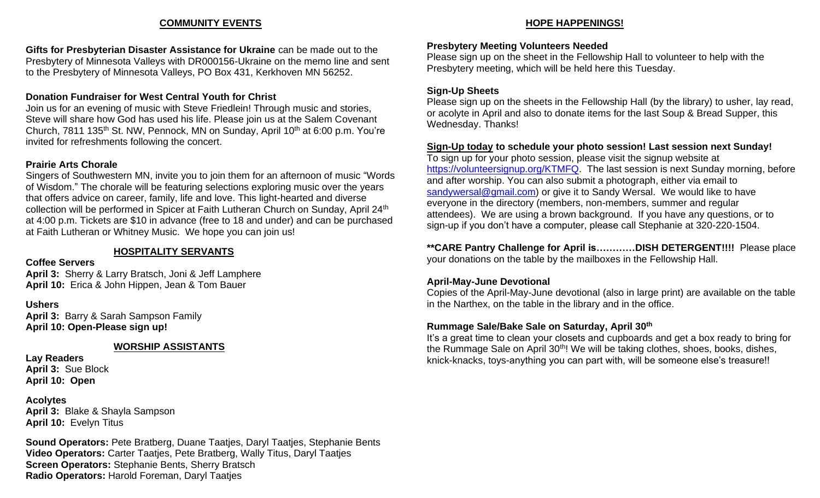#### **COMMUNITY EVENTS**

**Gifts for Presbyterian Disaster Assistance for Ukraine** can be made out to the Presbytery of Minnesota Valleys with DR000156-Ukraine on the memo line and sent to the Presbytery of Minnesota Valleys, PO Box 431, Kerkhoven MN 56252.

# **Donation Fundraiser for West Central Youth for Christ**

Join us for an evening of music with Steve Friedlein! Through music and stories, Steve will share how God has used his life. Please join us at the Salem Covenant Church, 7811 135<sup>th</sup> St. NW, Pennock, MN on Sunday, April 10<sup>th</sup> at 6:00 p.m. You're invited for refreshments following the concert.

### **Prairie Arts Chorale**

Singers of Southwestern MN, invite you to join them for an afternoon of music "Words of Wisdom." The chorale will be featuring selections exploring music over the years that offers advice on career, family, life and love. This light-hearted and diverse collection will be performed in Spicer at Faith Lutheran Church on Sunday, April 24<sup>th</sup> at 4:00 p.m. Tickets are \$10 in advance (free to 18 and under) and can be purchased at Faith Lutheran or Whitney Music. We hope you can join us!

# **HOSPITALITY SERVANTS**

#### **Coffee Servers**

**April 3:** Sherry & Larry Bratsch, Joni & Jeff Lamphere **April 10:** Erica & John Hippen, Jean & Tom Bauer

# **Ushers**

**April 3:** Barry & Sarah Sampson Family **April 10: Open-Please sign up!**

# **WORSHIP ASSISTANTS**

**Lay Readers April 3:** Sue Block **April 10: Open**

#### **Acolytes**

**April 3:** Blake & Shayla Sampson **April 10:** Evelyn Titus

**Sound Operators:** Pete Bratberg, Duane Taatjes, Daryl Taatjes, Stephanie Bents **Video Operators:** Carter Taatjes, Pete Bratberg, Wally Titus, Daryl Taatjes **Screen Operators:** Stephanie Bents, Sherry Bratsch **Radio Operators:** Harold Foreman, Daryl Taatjes

# **HOPE HAPPENINGS!**

# **Presbytery Meeting Volunteers Needed**

Please sign up on the sheet in the Fellowship Hall to volunteer to help with the Presbytery meeting, which will be held here this Tuesday.

# **Sign-Up Sheets**

Please sign up on the sheets in the Fellowship Hall (by the library) to usher, lay read, or acolyte in April and also to donate items for the last Soup & Bread Supper, this Wednesday. Thanks!

# **Sign-Up today to schedule your photo session! Last session next Sunday!**

To sign up for your photo session, please visit the signup website at [https://volunteersignup.org/KTMFQ.](https://volunteersignup.org/KTMFQ) The last session is next Sunday morning, before and after worship. You can also submit a photograph, either via email to [sandywersal@gmail.com\)](mailto:sandywersal@gmail.com) or give it to Sandy Wersal. We would like to have everyone in the directory (members, non-members, summer and regular attendees). We are using a brown background. If you have any questions, or to sign-up if you don't have a computer, please call Stephanie at 320-220-1504.

**\*\*CARE Pantry Challenge for April is…………DISH DETERGENT!!!!** Please place your donations on the table by the mailboxes in the Fellowship Hall.

# **April-May-June Devotional**

Copies of the April-May-June devotional (also in large print) are available on the table in the Narthex, on the table in the library and in the office.

# **Rummage Sale/Bake Sale on Saturday, April 30th**

It's a great time to clean your closets and cupboards and get a box ready to bring for the Rummage Sale on April 30<sup>th</sup>! We will be taking clothes, shoes, books, dishes, knick-knacks, toys-anything you can part with, will be someone else's treasure!!